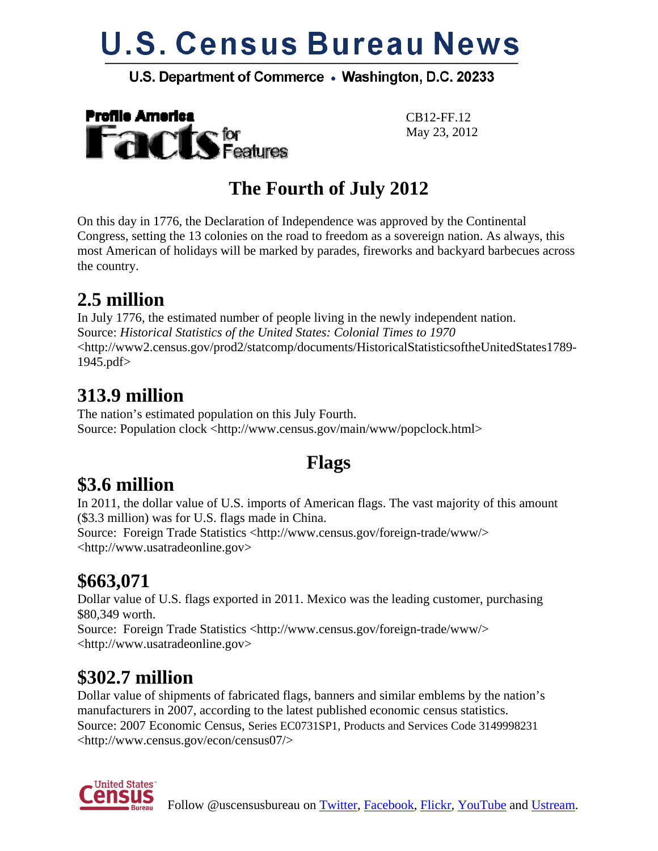# **U.S. Census Bureau News**

#### U.S. Department of Commerce . Washington, D.C. 20233



CB12-FF.12

## **The Fourth of July 2012**

On this day in 1776, the Declaration of Independence was approved by the Continental Congress, setting the 13 colonies on the road to freedom as a sovereign nation. As always, this most American of holidays will be marked by parades, fireworks and backyard barbecues across the country.

## **2.5 million**

In July 1776, the estimated number of people living in the newly independent nation. Source: *Historical Statistics of the United States: Colonial Times to 1970* <http://www2.census.gov/prod2/statcomp/documents/HistoricalStatisticsoftheUnitedStates1789- 1945.pdf>

#### **313.9 million**

The nation's estimated population on this July Fourth. Source: Population clock <http://www.census.gov/main/www/popclock.html>

#### **Flags**

## **\$3.6 million**

In 2011, the dollar value of U.S. imports of American flags. The vast majority of this amount (\$3.3 million) was for U.S. flags made in China.

Source: Foreign Trade Statistics <http://www.census.gov/foreign-trade/www/> <http://www.usatradeonline.gov>

## **\$663,071**

Dollar value of U.S. flags exported in 2011. Mexico was the leading customer, purchasing \$80,349 worth.

Source: Foreign Trade Statistics <http://www.census.gov/foreign-trade/www/> <http://www.usatradeonline.gov>

## **\$302.7 million**

Dollar value of shipments of fabricated flags, banners and similar emblems by the nation's manufacturers in 2007, according to the latest published economic census statistics. Source: 2007 Economic Census, Series EC0731SP1, Products and Services Code 3149998231 <http://www.census.gov/econ/census07/>

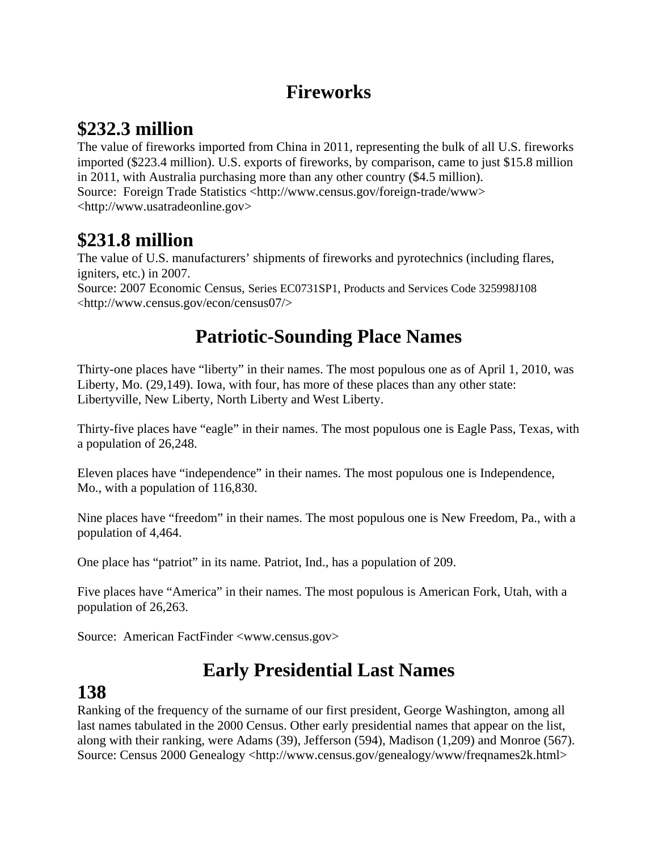## **Fireworks**

## **\$232.3 million**

The value of fireworks imported from China in 2011, representing the bulk of all U.S. fireworks imported (\$223.4 million). U.S. exports of fireworks, by comparison, came to just \$15.8 million in 2011, with Australia purchasing more than any other country (\$4.5 million). Source: Foreign Trade Statistics <http://www.census.gov/foreign-trade/www> <http://www.usatradeonline.gov>

#### **\$231.8 million**

The value of U.S. manufacturers' shipments of fireworks and pyrotechnics (including flares, igniters, etc.) in 2007.

Source: 2007 Economic Census, Series EC0731SP1, Products and Services Code 325998J108 <http://www.census.gov/econ/census07/>

## **Patriotic-Sounding Place Names**

Thirty-one places have "liberty" in their names. The most populous one as of April 1, 2010, was Liberty, Mo. (29,149). Iowa, with four, has more of these places than any other state: Libertyville, New Liberty, North Liberty and West Liberty.

Thirty-five places have "eagle" in their names. The most populous one is Eagle Pass, Texas, with a population of 26,248.

Eleven places have "independence" in their names. The most populous one is Independence, Mo., with a population of 116,830.

Nine places have "freedom" in their names. The most populous one is New Freedom, Pa., with a population of 4,464.

One place has "patriot" in its name. Patriot, Ind., has a population of 209.

Five places have "America" in their names. The most populous is American Fork, Utah, with a population of 26,263.

Source: American FactFinder <www.census.gov>

## **Early Presidential Last Names**

#### **138**

Ranking of the frequency of the surname of our first president, George Washington, among all last names tabulated in the 2000 Census. Other early presidential names that appear on the list, along with their ranking, were Adams (39), Jefferson (594), Madison (1,209) and Monroe (567). Source: Census 2000 Genealogy <http://www.census.gov/genealogy/www/freqnames2k.html>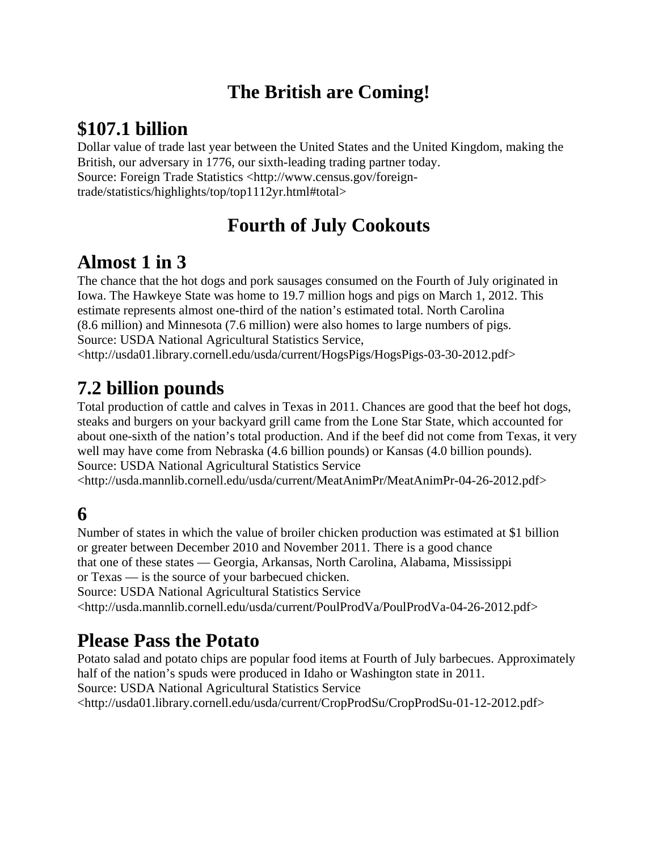## **The British are Coming!**

## **\$107.1 billion**

Dollar value of trade last year between the United States and the United Kingdom, making the British, our adversary in 1776, our sixth-leading trading partner today. Source: Foreign Trade Statistics <http://www.census.gov/foreigntrade/statistics/highlights/top/top1112yr.html#total>

## **Fourth of July Cookouts**

#### **Almost 1 in 3**

The chance that the hot dogs and pork sausages consumed on the Fourth of July originated in Iowa. The Hawkeye State was home to 19.7 million hogs and pigs on March 1, 2012. This estimate represents almost one-third of the nation's estimated total. North Carolina (8.6 million) and Minnesota (7.6 million) were also homes to large numbers of pigs. Source: USDA National Agricultural Statistics Service,

<http://usda01.library.cornell.edu/usda/current/HogsPigs/HogsPigs-03-30-2012.pdf>

## **7.2 billion pounds**

Total production of cattle and calves in Texas in 2011. Chances are good that the beef hot dogs, steaks and burgers on your backyard grill came from the Lone Star State, which accounted for about one-sixth of the nation's total production. And if the beef did not come from Texas, it very well may have come from Nebraska (4.6 billion pounds) or Kansas (4.0 billion pounds). Source: USDA National Agricultural Statistics Service

<http://usda.mannlib.cornell.edu/usda/current/MeatAnimPr/MeatAnimPr-04-26-2012.pdf>

#### **6**

Number of states in which the value of broiler chicken production was estimated at \$1 billion or greater between December 2010 and November 2011. There is a good chance that one of these states — Georgia, Arkansas, North Carolina, Alabama, Mississippi or Texas — is the source of your barbecued chicken.

Source: USDA National Agricultural Statistics Service

<http://usda.mannlib.cornell.edu/usda/current/PoulProdVa/PoulProdVa-04-26-2012.pdf>

#### **Please Pass the Potato**

Potato salad and potato chips are popular food items at Fourth of July barbecues. Approximately half of the nation's spuds were produced in Idaho or Washington state in 2011. Source: USDA National Agricultural Statistics Service <http://usda01.library.cornell.edu/usda/current/CropProdSu/CropProdSu-01-12-2012.pdf>